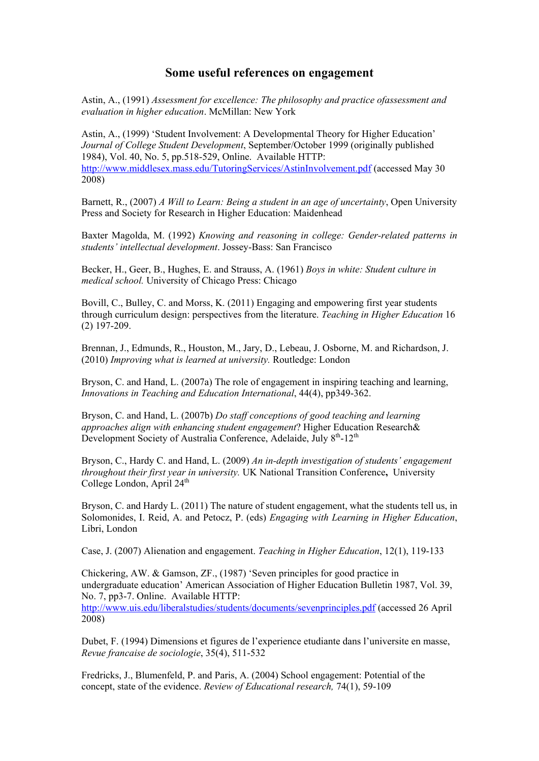## **Some useful references on engagement**

Astin, A., (1991) *Assessment for excellence: The philosophy and practice ofassessment and evaluation in higher education*. McMillan: New York

Astin, A., (1999) 'Student Involvement: A Developmental Theory for Higher Education' *Journal of College Student Development*, September/October 1999 (originally published 1984), Vol. 40, No. 5, pp.518-529, Online. Available HTTP: <http://www.middlesex.mass.edu/TutoringServices/AstinInvolvement.pdf> (accessed May 30 2008)

Barnett, R., (2007) *A Will to Learn: Being a student in an age of uncertainty*, Open University Press and Society for Research in Higher Education: Maidenhead

Baxter Magolda, M. (1992) *Knowing and reasoning in college: Gender-related patterns in students' intellectual development*. Jossey-Bass: San Francisco

Becker, H., Geer, B., Hughes, E. and Strauss, A. (1961) *Boys in white: Student culture in medical school.* University of Chicago Press: Chicago

Bovill, C., Bulley, C. and Morss, K. (2011) Engaging and empowering first year students through curriculum design: perspectives from the literature. *Teaching in Higher Education* 16 (2) 197-209.

Brennan, J., Edmunds, R., Houston, M., Jary, D., Lebeau, J. Osborne, M. and Richardson, J. (2010) *Improving what is learned at university.* Routledge: London

Bryson, C. and Hand, L. (2007a) The role of engagement in inspiring teaching and learning, *Innovations in Teaching and Education International*, 44(4), pp349-362.

Bryson, C. and Hand, L. (2007b) *Do staff conceptions of good teaching and learning approaches align with enhancing student engagement*? Higher Education Research& Development Society of Australia Conference, Adelaide, July 8<sup>th</sup>-12<sup>th</sup>

Bryson, C., Hardy C. and Hand, L. (2009) *An in-depth investigation of students' engagement throughout their first year in university.* UK National Transition Conference**,** University College London, April  $24<sup>th</sup>$ 

Bryson, C. and Hardy L. (2011) The nature of student engagement, what the students tell us, in Solomonides, I. Reid, A. and Petocz, P. (eds) *Engaging with Learning in Higher Education*, Libri, London

Case, J. (2007) Alienation and engagement. *Teaching in Higher Education*, 12(1), 119-133

Chickering, AW. & Gamson, ZF., (1987) 'Seven principles for good practice in undergraduate education' American Association of Higher Education Bulletin 1987, Vol. 39, No. 7, pp3-7. Online. Available HTTP: <http://www.uis.edu/liberalstudies/students/documents/sevenprinciples.pdf> (accessed 26 April 2008)

Dubet, F. (1994) Dimensions et figures de l'experience etudiante dans l'universite en masse, *Revue francaise de sociologie*, 35(4), 511-532

Fredricks, J., Blumenfeld, P. and Paris, A. (2004) School engagement: Potential of the concept, state of the evidence. *Review of Educational research,* 74(1), 59-109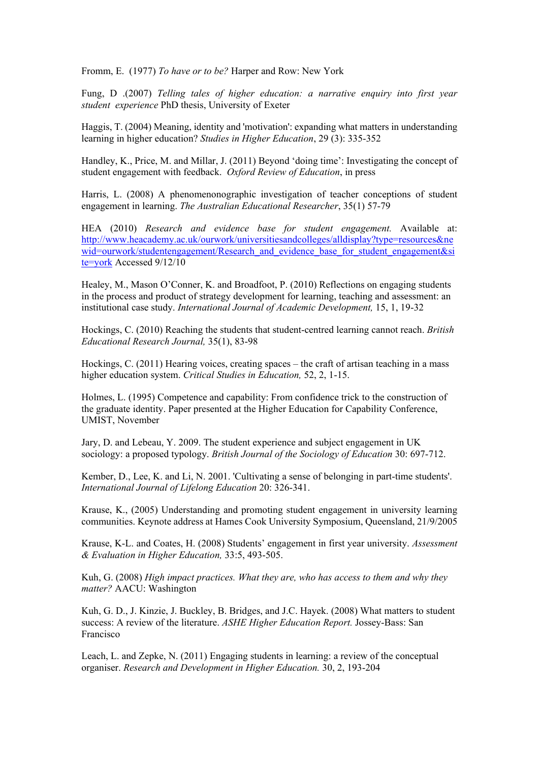Fromm, E. (1977) *To have or to be?* Harper and Row: New York

Fung, D .(2007) *Telling tales of higher education: a narrative enquiry into first year student experience* PhD thesis, University of Exeter

Haggis, T. (2004) Meaning, identity and 'motivation': expanding what matters in understanding learning in higher education? *Studies in Higher Education*, 29 (3): 335-352

Handley, K., Price, M. and Millar, J. (2011) Beyond 'doing time': Investigating the concept of student engagement with feedback. *Oxford Review of Education*, in press

Harris, L. (2008) A phenomenonographic investigation of teacher conceptions of student engagement in learning. *The Australian Educational Researcher*, 35(1) 57-79

HEA (2010) *Research and evidence base for student engagement.* Available at: [http://www.heacademy.ac.uk/ourwork/universitiesandcolleges/alldisplay?type=resources&ne](http://www.heacademy.ac.uk/ourwork/universitiesandcolleges/alldisplay?type=resources&newid=ourwork/studentengagement/Research_and_evidence_base_for_student_engagement&site=york) [wid=ourwork/studentengagement/Research\\_and\\_evidence\\_base\\_for\\_student\\_engagement&si](http://www.heacademy.ac.uk/ourwork/universitiesandcolleges/alldisplay?type=resources&newid=ourwork/studentengagement/Research_and_evidence_base_for_student_engagement&site=york) [te=york](http://www.heacademy.ac.uk/ourwork/universitiesandcolleges/alldisplay?type=resources&newid=ourwork/studentengagement/Research_and_evidence_base_for_student_engagement&site=york) Accessed 9/12/10

Healey, M., Mason O'Conner, K. and Broadfoot, P. (2010) Reflections on engaging students in the process and product of strategy development for learning, teaching and assessment: an institutional case study. *International Journal of Academic Development,* 15, 1, 19-32

Hockings, C. (2010) Reaching the students that student-centred learning cannot reach. *British Educational Research Journal,* 35(1), 83-98

Hockings, C. (2011) Hearing voices, creating spaces – the craft of artisan teaching in a mass higher education system. *Critical Studies in Education,* 52, 2, 1-15.

Holmes, L. (1995) Competence and capability: From confidence trick to the construction of the graduate identity. Paper presented at the Higher Education for Capability Conference, UMIST, November

Jary, D. and Lebeau, Y. 2009. The student experience and subject engagement in UK sociology: a proposed typology. *British Journal of the Sociology of Education* 30: 697-712.

Kember, D., Lee, K. and Li, N. 2001. 'Cultivating a sense of belonging in part-time students'. *International Journal of Lifelong Education* 20: 326-341.

Krause, K., (2005) Understanding and promoting student engagement in university learning communities. Keynote address at Hames Cook University Symposium, Queensland, 21/9/2005

Krause, K-L. and Coates, H. (2008) Students' engagement in first year university. *Assessment & Evaluation in Higher Education,* 33:5, 493-505.

Kuh, G. (2008) *High impact practices. What they are, who has access to them and why they matter?* AACU: Washington

Kuh, G. D., J. Kinzie, J. Buckley, B. Bridges, and J.C. Hayek. (2008) What matters to student success: A review of the literature. *ASHE Higher Education Report.* Jossey-Bass: San Francisco

Leach, L. and Zepke, N. (2011) Engaging students in learning: a review of the conceptual organiser. *Research and Development in Higher Education.* 30, 2, 193-204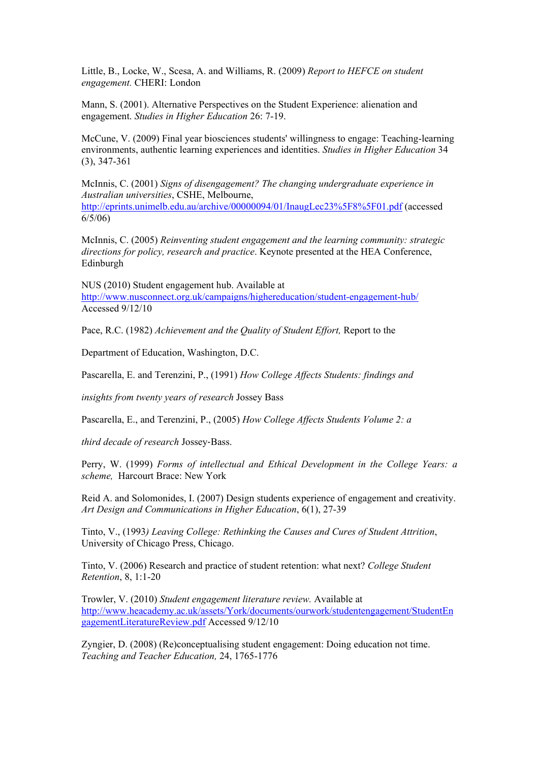Little, B., Locke, W., Scesa, A. and Williams, R. (2009) *Report to HEFCE on student engagement.* CHERI: London

Mann, S. (2001). Alternative Perspectives on the Student Experience: alienation and engagement. *Studies in Higher Education* 26: 7-19.

McCune, V. (2009) Final year biosciences students' willingness to engage: Teaching-learning environments, authentic learning experiences and identities. *Studies in Higher Education* 34 (3), 347-361

McInnis, C. (2001) *Signs of disengagement? The changing undergraduate experience in Australian universities*, CSHE, Melbourne, [http://eprints.unimelb.edu.au/archive/00000094/01/InaugLec23%5F8%5F01.pdf](http://eprints.unimelb.edu.au/archive/00000094/01/InaugLec23_8_01.pdf) (accessed 6/5/06)

McInnis, C. (2005) *Reinventing student engagement and the learning community: strategic directions for policy, research and practice*. Keynote presented at the HEA Conference, Edinburgh

NUS (2010) Student engagement hub. Available at <http://www.nusconnect.org.uk/campaigns/highereducation/student-engagement-hub/> Accessed 9/12/10

Pace, R.C. (1982) *Achievement and the Quality of Student Effort,* Report to the

Department of Education, Washington, D.C.

Pascarella, E. and Terenzini, P., (1991) *How College Affects Students: findings and*

*insights from twenty years of research* Jossey Bass

Pascarella, E., and Terenzini, P., (2005) *How College Affects Students Volume 2: a*

*third decade of research* Jossey‐Bass.

Perry, W. (1999) *Forms of intellectual and Ethical Development in the College Years: a scheme,* Harcourt Brace: New York

Reid A. and Solomonides, I. (2007) Design students experience of engagement and creativity. *Art Design and Communications in Higher Education*, 6(1), 27-39

Tinto, V., (1993*) Leaving College: Rethinking the Causes and Cures of Student Attrition*, University of Chicago Press, Chicago.

Tinto, V. (2006) Research and practice of student retention: what next? *College Student Retention*, 8, 1:1-20

Trowler, V. (2010) *Student engagement literature review.* Available at [http://www.heacademy.ac.uk/assets/York/documents/ourwork/studentengagement/StudentEn](http://www.heacademy.ac.uk/assets/York/documents/ourwork/studentengagement/StudentEngagementLiteratureReview.pdf) [gagementLiteratureReview.pdf](http://www.heacademy.ac.uk/assets/York/documents/ourwork/studentengagement/StudentEngagementLiteratureReview.pdf) Accessed 9/12/10

Zyngier, D. (2008) (Re)conceptualising student engagement: Doing education not time. *Teaching and Teacher Education,* 24, 1765-1776